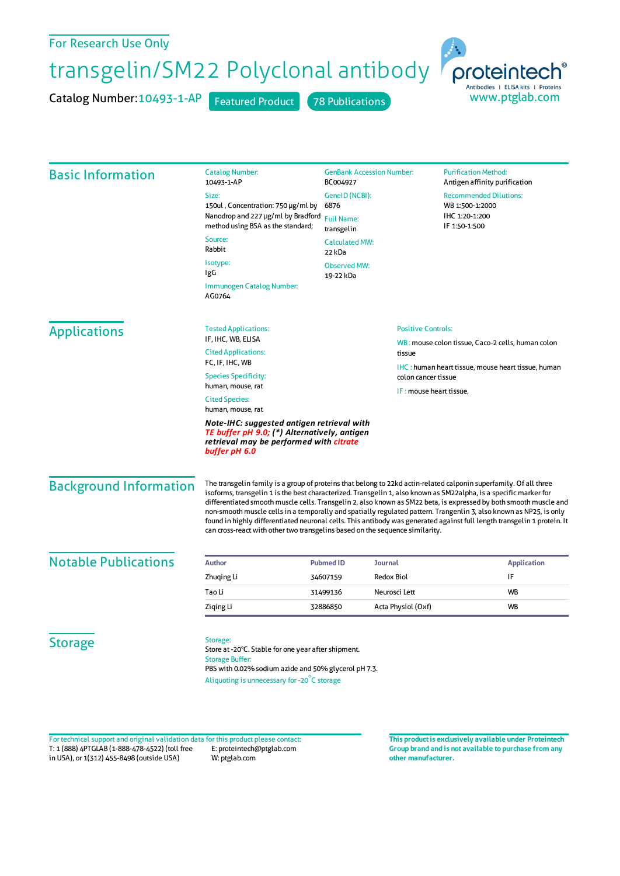## For Research Use Only

## transgelin/SM22 Polyclonal antibody

Catalog Number: 10493-1-AP Featured Product 78 Publications



| <b>Basic Information</b>                                                                                                                               | <b>Catalog Number:</b><br>10493-1-AP                                                                                                                                                                                                                                                                                                                                                                                                                                                                                                                                                                                                                                                         | <b>GenBank Accession Number:</b><br>BC004927<br>GeneID (NCBI):<br>6876<br><b>Full Name:</b><br>transgelin<br><b>Calculated MW:</b><br>22 kDa |                    | <b>Purification Method:</b><br>Antigen affinity purification<br><b>Recommended Dilutions:</b><br>WB 1:500-1:2000<br>IHC 1:20-1:200<br>IF 1:50-1:500 |                                                                                                                                                                                                          |
|--------------------------------------------------------------------------------------------------------------------------------------------------------|----------------------------------------------------------------------------------------------------------------------------------------------------------------------------------------------------------------------------------------------------------------------------------------------------------------------------------------------------------------------------------------------------------------------------------------------------------------------------------------------------------------------------------------------------------------------------------------------------------------------------------------------------------------------------------------------|----------------------------------------------------------------------------------------------------------------------------------------------|--------------------|-----------------------------------------------------------------------------------------------------------------------------------------------------|----------------------------------------------------------------------------------------------------------------------------------------------------------------------------------------------------------|
|                                                                                                                                                        | Size:                                                                                                                                                                                                                                                                                                                                                                                                                                                                                                                                                                                                                                                                                        |                                                                                                                                              |                    |                                                                                                                                                     |                                                                                                                                                                                                          |
|                                                                                                                                                        | 150ul, Concentration: 750 µg/ml by<br>Nanodrop and 227 µg/ml by Bradford<br>method using BSA as the standard;                                                                                                                                                                                                                                                                                                                                                                                                                                                                                                                                                                                |                                                                                                                                              |                    |                                                                                                                                                     |                                                                                                                                                                                                          |
|                                                                                                                                                        |                                                                                                                                                                                                                                                                                                                                                                                                                                                                                                                                                                                                                                                                                              |                                                                                                                                              |                    |                                                                                                                                                     |                                                                                                                                                                                                          |
|                                                                                                                                                        | Isotype:<br><b>Observed MW:</b><br>IgG<br>19-22 kDa                                                                                                                                                                                                                                                                                                                                                                                                                                                                                                                                                                                                                                          |                                                                                                                                              |                    |                                                                                                                                                     |                                                                                                                                                                                                          |
|                                                                                                                                                        | <b>Immunogen Catalog Number:</b><br>AG0764                                                                                                                                                                                                                                                                                                                                                                                                                                                                                                                                                                                                                                                   |                                                                                                                                              |                    |                                                                                                                                                     |                                                                                                                                                                                                          |
|                                                                                                                                                        | <b>Applications</b>                                                                                                                                                                                                                                                                                                                                                                                                                                                                                                                                                                                                                                                                          | <b>Tested Applications:</b><br>IF, IHC, WB, ELISA                                                                                            |                    |                                                                                                                                                     | <b>Positive Controls:</b><br>WB: mouse colon tissue, Caco-2 cells, human colon<br>tissue<br><b>IHC</b> : human heart tissue, mouse heart tissue, human<br>colon cancer tissue<br>IF: mouse heart tissue, |
| <b>Cited Applications:</b>                                                                                                                             |                                                                                                                                                                                                                                                                                                                                                                                                                                                                                                                                                                                                                                                                                              |                                                                                                                                              |                    |                                                                                                                                                     |                                                                                                                                                                                                          |
| FC, IF, IHC, WB<br><b>Species Specificity:</b>                                                                                                         |                                                                                                                                                                                                                                                                                                                                                                                                                                                                                                                                                                                                                                                                                              |                                                                                                                                              |                    |                                                                                                                                                     |                                                                                                                                                                                                          |
| human, mouse, rat                                                                                                                                      |                                                                                                                                                                                                                                                                                                                                                                                                                                                                                                                                                                                                                                                                                              |                                                                                                                                              |                    |                                                                                                                                                     |                                                                                                                                                                                                          |
| <b>Cited Species:</b><br>human, mouse, rat                                                                                                             |                                                                                                                                                                                                                                                                                                                                                                                                                                                                                                                                                                                                                                                                                              |                                                                                                                                              |                    |                                                                                                                                                     |                                                                                                                                                                                                          |
| Note-IHC: suggested antigen retrieval with<br>TE buffer pH 9.0; (*) Alternatively, antigen<br>retrieval may be performed with citrate<br>buffer pH 6.0 |                                                                                                                                                                                                                                                                                                                                                                                                                                                                                                                                                                                                                                                                                              |                                                                                                                                              |                    |                                                                                                                                                     |                                                                                                                                                                                                          |
| <b>Background Information</b>                                                                                                                          | The transgelin family is a group of proteins that belong to 22kd actin-related calponin superfamily. Of all three<br>isoforms, transgelin 1 is the best characterized. Transgelin 1, also known as SM22alpha, is a specific marker for<br>differentiated smooth muscle cells. Transgelin 2, also known as SM22 beta, is expressed by both smooth muscle and<br>non-smooth muscle cells in a temporally and spatially regulated pattern. Trangenlin 3, also known as NP25, is only<br>found in highly differentiated neuronal cells. This antibody was generated against full length transgelin 1 protein. It<br>can cross-react with other two transgelins based on the sequence similarity. |                                                                                                                                              |                    |                                                                                                                                                     |                                                                                                                                                                                                          |
| <b>Notable Publications</b>                                                                                                                            | <b>Author</b>                                                                                                                                                                                                                                                                                                                                                                                                                                                                                                                                                                                                                                                                                | <b>Pubmed ID</b>                                                                                                                             | <b>Journal</b>     |                                                                                                                                                     | <b>Application</b>                                                                                                                                                                                       |
|                                                                                                                                                        | Zhuging Li                                                                                                                                                                                                                                                                                                                                                                                                                                                                                                                                                                                                                                                                                   | 34607159                                                                                                                                     | <b>Redox Biol</b>  |                                                                                                                                                     | IF                                                                                                                                                                                                       |
|                                                                                                                                                        | Tao Li                                                                                                                                                                                                                                                                                                                                                                                                                                                                                                                                                                                                                                                                                       | 31499136                                                                                                                                     | Neurosci Lett      |                                                                                                                                                     | WB                                                                                                                                                                                                       |
|                                                                                                                                                        | Ziqing Li                                                                                                                                                                                                                                                                                                                                                                                                                                                                                                                                                                                                                                                                                    | 32886850                                                                                                                                     | Acta Physiol (Oxf) |                                                                                                                                                     | WB                                                                                                                                                                                                       |
| <b>Storage</b>                                                                                                                                         | Storage:<br>Store at -20°C. Stable for one year after shipment.<br><b>Storage Buffer:</b><br>PBS with 0.02% sodium azide and 50% glycerol pH 7.3.<br>Aliquoting is unnecessary for -20°C storage                                                                                                                                                                                                                                                                                                                                                                                                                                                                                             |                                                                                                                                              |                    |                                                                                                                                                     |                                                                                                                                                                                                          |

T: 1 (888) 4PTGLAB (1-888-478-4522) (toll free in USA), or 1(312) 455-8498 (outside USA) E: proteintech@ptglab.com W: ptglab.com Fortechnical support and original validation data forthis product please contact: **This productis exclusively available under Proteintech**

**Group brand and is not available to purchase from any other manufacturer.**